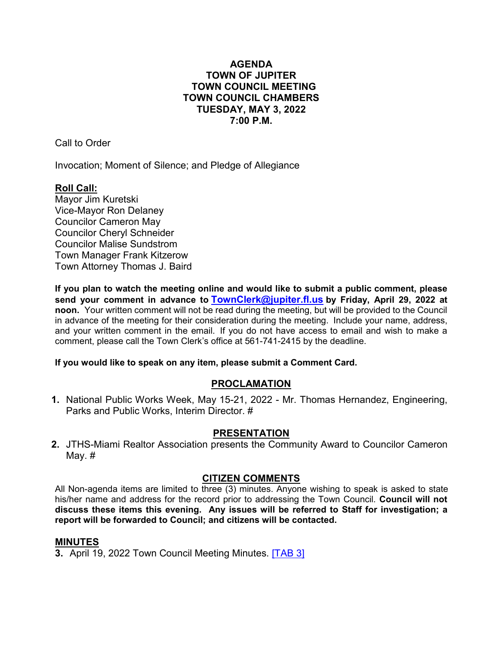## **AGENDA TOWN OF JUPITER TOWN COUNCIL MEETING TOWN COUNCIL CHAMBERS TUESDAY, MAY 3, 2022 7:00 P.M.**

Call to Order

Invocation; Moment of Silence; and Pledge of Allegiance

# **Roll Call:**

Mayor Jim Kuretski Vice-Mayor Ron Delaney Councilor Cameron May Councilor Cheryl Schneider Councilor Malise Sundstrom Town Manager Frank Kitzerow Town Attorney Thomas J. Baird

**If you plan to watch the meeting online and would like to submit a public comment, please send your comment in advance to [TownClerk@jupiter.fl.us](mailto:TownClerk@jupiter.fl.us) by Friday, April 29, 2022 at noon.** Your written comment will not be read during the meeting, but will be provided to the Council in advance of the meeting for their consideration during the meeting. Include your name, address, and your written comment in the email. If you do not have access to email and wish to make a comment, please call the Town Clerk's office at 561-741-2415 by the deadline.

## **If you would like to speak on any item, please submit a Comment Card.**

## **PROCLAMATION**

**1.** National Public Works Week, May 15-21, 2022 - Mr. Thomas Hernandez, Engineering, Parks and Public Works, Interim Director. #

## **PRESENTATION**

**2.** JTHS-Miami Realtor Association presents the Community Award to Councilor Cameron May. #

## **CITIZEN COMMENTS**

All Non-agenda items are limited to three (3) minutes. Anyone wishing to speak is asked to state his/her name and address for the record prior to addressing the Town Council. **Council will not discuss these items this evening. Any issues will be ref[erred to](http://www.jupiter.fl.us/documentcenter/view/29959) Staff for investigation; a report will be forwarded to Council; and citizens will be contacted.**

## **MINUTES**

**3.** April 19, 2022 Town Council Meeting Minutes. [\[TAB 3\]](http://www.jupiter.fl.us/documentcenter/view/29959)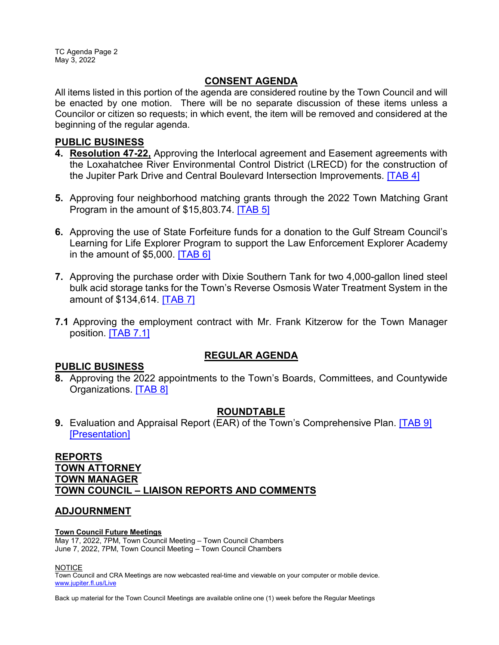TC Agenda Page 2 May 3, 2022

## **CONSENT AGENDA**

All items listed in this portion of the agenda are considered routine by the Town Council and will be enacted by one motion. There will be no separate discussion of these items unless a Councilor or citizen so requests; in which event, the item will be removed and considered at the beginning of the regular agenda.

## **PUBLIC BUSINESS**

- **4. Resolution 47-22,** Approving the Interlocal agreement and Easement agreements with the Loxahatchee River Environmental Control District (LRECD) for the construction of the Jupiter Park Drive and Central Boulevard Intersection Improvements. [\[TAB 4\]](http://www.jupiter.fl.us/documentcenter/view/29960)
- **5.** Approving four neighborhood matching grants through the 2022 Town Matching Grant Program in the amount of \$15,803.74. [\[TAB 5\]](http://www.jupiter.fl.us/documentcenter/view/29961)
- **6.** Approving the use of State Forfeiture funds for a donation to the Gulf Stream Council's Learning for Life Explorer Program to support the Law Enforcement Explorer Academy in the amount of  $$5,000$ . **TAB 6**]
- **7.** Approving the purchase order with Dixie Southern Tank for two 4,000-gallon lined steel bulk acid storage tanks for the Town's Reverse Osmosis Water Treatment System in the amount of \$134,614. [\[TAB 7\]](http://www.jupiter.fl.us/documentcenter/view/29963)
- **7.1** Approving the employment contract with Mr. Frank Kitzerow for the Town Manager position. [\[TAB 7.1\]](https://www.jupiter.fl.us/DocumentCenter/View/29982)

## **REGULAR AGENDA**

## **PUBLIC BUSINESS**

**8.** Approving the 2022 appointments to the Town's Boards, Committees, and Countywide Organizations. [\[TAB 8\]](http://www.jupiter.fl.us/documentcenter/view/29964)

## **ROUNDTABLE**

**9.** Evaluation and Appraisal Report (EAR) of the Town's Comprehensive Plan. [\[TAB 9\]](http://www.jupiter.fl.us/documentcenter/view/29966) [\[Presentation\]](http://www.jupiter.fl.us/documentcenter/view/29965)

## **REPORTS TOWN ATTORNEY TOWN MANAGER TOWN COUNCIL – LIAISON REPORTS AND COMMENTS**

## **ADJOURNMENT**

### **Town Council Future Meetings**

May 17, 2022, 7PM, Town Council Meeting – Town Council Chambers June 7, 2022, 7PM, Town Council Meeting – Town Council Chambers

**NOTICE** 

Town Council and CRA Meetings are now webcasted real-time and viewable on your computer or mobile device. [www.jupiter.fl.us/Live](http://www.jupiter.fl.us/Live)

Back up material for the Town Council Meetings are available online one (1) week before the Regular Meetings